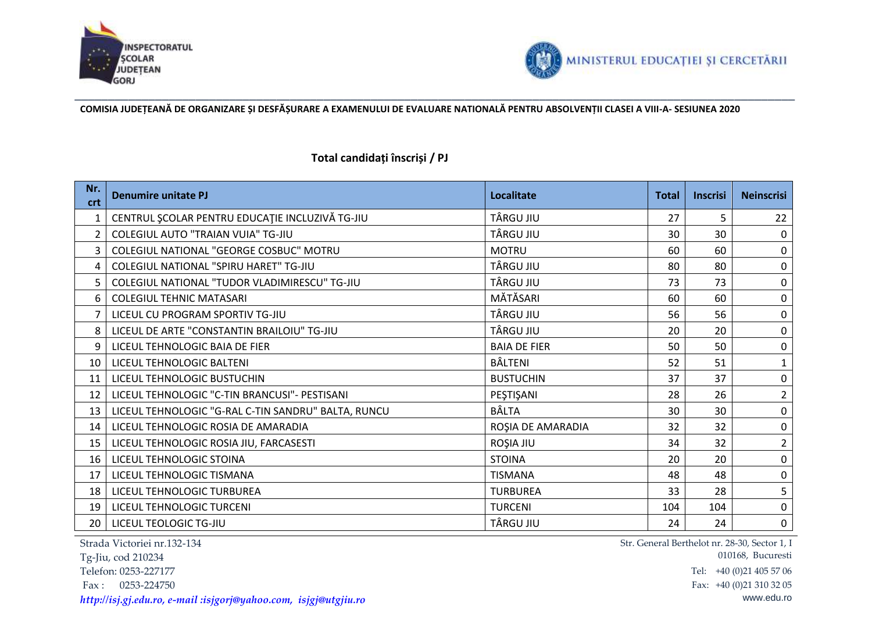



**COMISIA JUDEȚEANĂ DE ORGANIZARE ȘI DESFĂȘURARE A EXAMENULUI DE EVALUARE NATIONALĂ PENTRU ABSOLVENȚII CLASEI A VIII-A- SESIUNEA 2020**

## **Total candidați înscriși / PJ**

| Nr.<br>crt     | <b>Denumire unitate PJ</b>                          | <b>Localitate</b>   | <b>Total</b> | <b>Inscrisi</b> | <b>Neinscrisi</b> |
|----------------|-----------------------------------------------------|---------------------|--------------|-----------------|-------------------|
|                | CENTRUL ȘCOLAR PENTRU EDUCAȚIE INCLUZIVĂ TG-JIU     | TÂRGU JIU           | 27           | 5               | 22                |
| $\overline{2}$ | COLEGIUL AUTO "TRAIAN VUIA" TG-JIU                  | TÂRGU JIU           | 30           | 30              | 0                 |
| $\overline{3}$ | COLEGIUL NATIONAL "GEORGE COSBUC" MOTRU             | <b>MOTRU</b>        | 60           | 60              | $\pmb{0}$         |
| 4              | COLEGIUL NATIONAL "SPIRU HARET" TG-JIU              | TÂRGU JIU           | 80           | 80              | $\mathbf 0$       |
| 5.             | COLEGIUL NATIONAL "TUDOR VLADIMIRESCU" TG-JIU       | TÂRGU JIU           | 73           | 73              | $\mathbf 0$       |
| 6              | <b>COLEGIUL TEHNIC MATASARI</b>                     | MĂTĂSARI            | 60           | 60              | $\pmb{0}$         |
|                | LICEUL CU PROGRAM SPORTIV TG-JIU                    | TÂRGU JIU           | 56           | 56              | $\pmb{0}$         |
| 8              | LICEUL DE ARTE "CONSTANTIN BRAILOIU" TG-JIU         | TÂRGU JIU           | 20           | 20              | $\mathbf 0$       |
| 9              | LICEUL TEHNOLOGIC BAIA DE FIER                      | <b>BAIA DE FIER</b> | 50           | 50              | $\pmb{0}$         |
| 10             | LICEUL TEHNOLOGIC BALTENI                           | BÂLTENI             | 52           | 51              | $\mathbf{1}$      |
| 11             | LICEUL TEHNOLOGIC BUSTUCHIN                         | <b>BUSTUCHIN</b>    | 37           | 37              | $\pmb{0}$         |
| 12             | LICEUL TEHNOLOGIC "C-TIN BRANCUSI"- PESTISANI       | PEŞTIŞANI           | 28           | 26              | $\overline{2}$    |
| 13             | LICEUL TEHNOLOGIC "G-RAL C-TIN SANDRU" BALTA, RUNCU | <b>BÂLTA</b>        | 30           | 30              | $\mathbf 0$       |
| 14             | LICEUL TEHNOLOGIC ROSIA DE AMARADIA                 | ROȘIA DE AMARADIA   | 32           | 32              | $\mathbf 0$       |
| 15             | LICEUL TEHNOLOGIC ROSIA JIU, FARCASESTI             | ROȘIA JIU           | 34           | 32              | $\overline{2}$    |
| 16             | LICEUL TEHNOLOGIC STOINA                            | <b>STOINA</b>       | 20           | 20              | $\pmb{0}$         |
| 17             | LICEUL TEHNOLOGIC TISMANA                           | <b>TISMANA</b>      | 48           | 48              | $\mathbf 0$       |
| 18             | LICEUL TEHNOLOGIC TURBUREA                          | <b>TURBUREA</b>     | 33           | 28              | 5                 |
| 19             | LICEUL TEHNOLOGIC TURCENI                           | <b>TURCENI</b>      | 104          | 104             | $\pmb{0}$         |
| 20             | LICEUL TEOLOGIC TG-JIU                              | TÂRGU JIU           | 24           | 24              | $\pmb{0}$         |

Strada Victoriei nr.132-134

Tg-Jiu, cod 210234

*[http://isj.gj.edu.ro,](http://isj.gj.edu.ro/) e-mail :isjgorj@yahoo.com, [isjgj@utgjiu.ro](mailto:isjgj@utgjiu.ro)* www.edu.ro

Str. General Berthelot nr. 28-30, Sector 1, I 010168, Bucuresti Telefon: 0253-227177 Tel: +40 (0)21 405 57 06 Fax: 0253-224750 Fax: +40 (0)21 310 32 05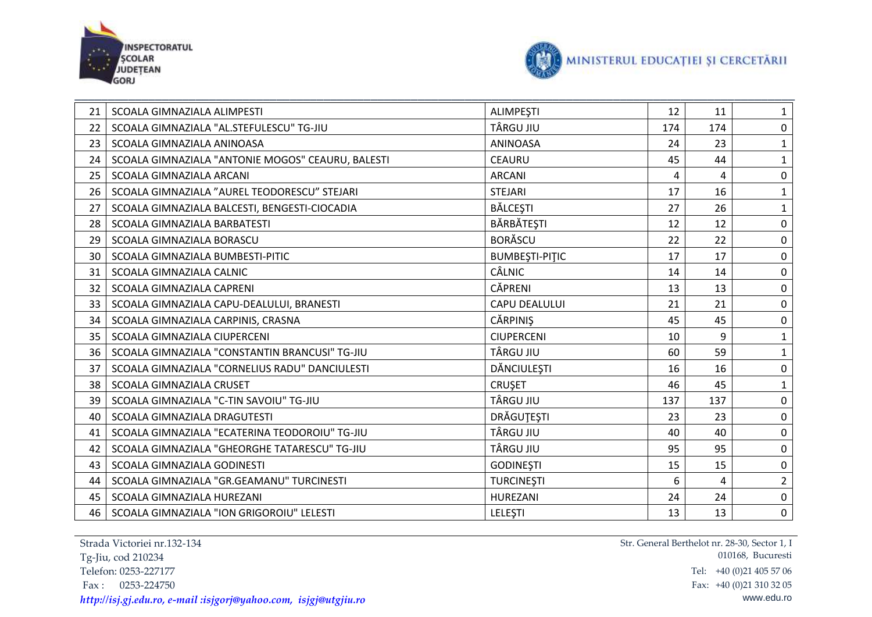



| 21 | SCOALA GIMNAZIALA ALIMPESTI                       | <b>ALIMPEŞTI</b>      | 12  | 11  | $\mathbf{1}$   |
|----|---------------------------------------------------|-----------------------|-----|-----|----------------|
| 22 | SCOALA GIMNAZIALA "AL.STEFULESCU" TG-JIU          | TÂRGU JIU             | 174 | 174 | $\mathbf 0$    |
| 23 | SCOALA GIMNAZIALA ANINOASA                        | <b>ANINOASA</b>       | 24  | 23  | $\mathbf{1}$   |
| 24 | SCOALA GIMNAZIALA "ANTONIE MOGOS" CEAURU, BALESTI | <b>CEAURU</b>         | 45  | 44  | $\mathbf{1}$   |
| 25 | SCOALA GIMNAZIALA ARCANI                          | <b>ARCANI</b>         | 4   | 4   | $\pmb{0}$      |
| 26 | SCOALA GIMNAZIALA "AUREL TEODORESCU" STEJARI      | <b>STEJARI</b>        | 17  | 16  | $\mathbf{1}$   |
| 27 | SCOALA GIMNAZIALA BALCESTI, BENGESTI-CIOCADIA     | <b>BĂLCEȘTI</b>       | 27  | 26  | $\mathbf{1}$   |
| 28 | SCOALA GIMNAZIALA BARBATESTI                      | BĂRBĂTEȘTI            | 12  | 12  | $\pmb{0}$      |
| 29 | SCOALA GIMNAZIALA BORASCU                         | <b>BORĂSCU</b>        | 22  | 22  | $\pmb{0}$      |
| 30 | SCOALA GIMNAZIALA BUMBESTI-PITIC                  | <b>BUMBESTI-PITIC</b> | 17  | 17  | $\pmb{0}$      |
| 31 | SCOALA GIMNAZIALA CALNIC                          | CÂLNIC                | 14  | 14  | $\pmb{0}$      |
| 32 | SCOALA GIMNAZIALA CAPRENI                         | CĂPRENI               | 13  | 13  | $\pmb{0}$      |
| 33 | SCOALA GIMNAZIALA CAPU-DEALULUI, BRANESTI         | CAPU DEALULUI         | 21  | 21  | $\pmb{0}$      |
| 34 | SCOALA GIMNAZIALA CARPINIS, CRASNA                | <b>CĂRPINIȘ</b>       | 45  | 45  | $\pmb{0}$      |
| 35 | SCOALA GIMNAZIALA CIUPERCENI                      | <b>CIUPERCENI</b>     | 10  | 9   | $\mathbf{1}$   |
| 36 | SCOALA GIMNAZIALA "CONSTANTIN BRANCUSI" TG-JIU    | TÂRGU JIU             | 60  | 59  | $\mathbf{1}$   |
| 37 | SCOALA GIMNAZIALA "CORNELIUS RADU" DANCIULESTI    | DĂNCIULEȘTI           | 16  | 16  | $\pmb{0}$      |
| 38 | SCOALA GIMNAZIALA CRUSET                          | <b>CRUSET</b>         | 46  | 45  | $\mathbf{1}$   |
| 39 | SCOALA GIMNAZIALA "C-TIN SAVOIU" TG-JIU           | TÂRGU JIU             | 137 | 137 | $\pmb{0}$      |
| 40 | SCOALA GIMNAZIALA DRAGUTESTI                      | <b>DRÄGUTESTI</b>     | 23  | 23  | $\pmb{0}$      |
| 41 | SCOALA GIMNAZIALA "ECATERINA TEODOROIU" TG-JIU    | <b>TÂRGU JIU</b>      | 40  | 40  | $\mathbf 0$    |
| 42 | SCOALA GIMNAZIALA "GHEORGHE TATARESCU" TG-JIU     | TÂRGU JIU             | 95  | 95  | $\pmb{0}$      |
| 43 | SCOALA GIMNAZIALA GODINESTI                       | <b>GODINEȘTI</b>      | 15  | 15  | $\pmb{0}$      |
| 44 | SCOALA GIMNAZIALA "GR.GEAMANU" TURCINESTI         | <b>TURCINESTI</b>     | 6   | 4   | $\overline{2}$ |
| 45 | SCOALA GIMNAZIALA HUREZANI                        | HUREZANI              | 24  | 24  | $\pmb{0}$      |
| 46 | SCOALA GIMNAZIALA "ION GRIGOROIU" LELESTI         | LELESTI               | 13  | 13  | $\mathbf 0$    |

Strada Victoriei nr.132-134 Tg-Jiu, cod 210234 Fax: 0253-224750<br>http://isi.gi.edu.ro.gr/mail.jisigori@ughoo.com/isigi@utgjiu.ro *[http://isj.gj.edu.ro,](http://isj.gj.edu.ro/) e-mail :isjgorj@yahoo.com, [isjgj@utgjiu.ro](mailto:isjgj@utgjiu.ro)* www.edu.ro

Str. General Berthelot nr. 28-30, Sector 1, I 010168, Bucuresti Tel: +40 (0)21 405 57 06<br>Fax: +40 (0)21 310 32 05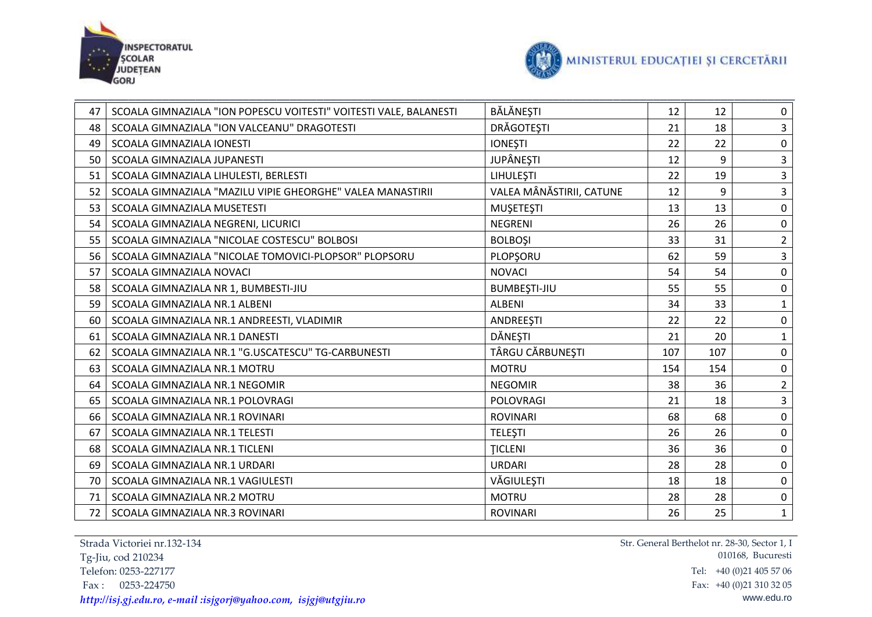



| 47 | SCOALA GIMNAZIALA "ION POPESCU VOITESTI" VOITESTI VALE, BALANESTI | BĂLĂNEȘTI                | 12  | 12  | 0                       |
|----|-------------------------------------------------------------------|--------------------------|-----|-----|-------------------------|
| 48 | SCOALA GIMNAZIALA "ION VALCEANU" DRAGOTESTI                       | DRĂGOTEȘTI               | 21  | 18  | 3                       |
| 49 | <b>SCOALA GIMNAZIALA IONESTI</b>                                  | <b>IONEȘTI</b>           | 22  | 22  | $\mathbf 0$             |
| 50 | SCOALA GIMNAZIALA JUPANESTI                                       | <b>JUPÂNEȘTI</b>         | 12  | 9   | 3                       |
| 51 | SCOALA GIMNAZIALA LIHULESTI, BERLESTI                             | LIHULEŞTI                | 22  | 19  | 3                       |
| 52 | SCOALA GIMNAZIALA "MAZILU VIPIE GHEORGHE" VALEA MANASTIRII        | VALEA MÂNĂSTIRII, CATUNE | 12  | 9   | $\overline{\mathbf{3}}$ |
| 53 | SCOALA GIMNAZIALA MUSETESTI                                       | <b>MUŞETEŞTI</b>         | 13  | 13  | $\pmb{0}$               |
| 54 | SCOALA GIMNAZIALA NEGRENI, LICURICI                               | <b>NEGRENI</b>           | 26  | 26  | $\mathbf 0$             |
| 55 | SCOALA GIMNAZIALA "NICOLAE COSTESCU" BOLBOSI                      | <b>BOLBOSI</b>           | 33  | 31  | $\overline{2}$          |
| 56 | SCOALA GIMNAZIALA "NICOLAE TOMOVICI-PLOPSOR" PLOPSORU             | PLOPSORU                 | 62  | 59  | 3                       |
| 57 | SCOALA GIMNAZIALA NOVACI                                          | <b>NOVACI</b>            | 54  | 54  | $\pmb{0}$               |
| 58 | SCOALA GIMNAZIALA NR 1, BUMBESTI-JIU                              | <b>BUMBEŞTI-JIU</b>      | 55  | 55  | $\mathbf 0$             |
| 59 | SCOALA GIMNAZIALA NR.1 ALBENI                                     | <b>ALBENI</b>            | 34  | 33  | $\mathbf{1}$            |
| 60 | SCOALA GIMNAZIALA NR.1 ANDREESTI, VLADIMIR                        | ANDREESTI                | 22  | 22  | $\pmb{0}$               |
| 61 | SCOALA GIMNAZIALA NR.1 DANESTI                                    | DĂNEȘTI                  | 21  | 20  | $\mathbf{1}$            |
| 62 | SCOALA GIMNAZIALA NR.1 "G.USCATESCU" TG-CARBUNESTI                | TÂRGU CĂRBUNEȘTI         | 107 | 107 | $\mathbf 0$             |
| 63 | SCOALA GIMNAZIALA NR.1 MOTRU                                      | <b>MOTRU</b>             | 154 | 154 | $\pmb{0}$               |
| 64 | SCOALA GIMNAZIALA NR.1 NEGOMIR                                    | <b>NEGOMIR</b>           | 38  | 36  | $\overline{2}$          |
| 65 | SCOALA GIMNAZIALA NR.1 POLOVRAGI                                  | POLOVRAGI                | 21  | 18  | $\overline{\mathbf{3}}$ |
| 66 | SCOALA GIMNAZIALA NR.1 ROVINARI                                   | <b>ROVINARI</b>          | 68  | 68  | $\pmb{0}$               |
| 67 | SCOALA GIMNAZIALA NR.1 TELESTI                                    | <b>TELEȘTI</b>           | 26  | 26  | $\mathbf 0$             |
| 68 | SCOALA GIMNAZIALA NR.1 TICLENI                                    | <b>TICLENI</b>           | 36  | 36  | $\pmb{0}$               |
| 69 | SCOALA GIMNAZIALA NR.1 URDARI                                     | <b>URDARI</b>            | 28  | 28  | 0                       |
| 70 | SCOALA GIMNAZIALA NR.1 VAGIULESTI                                 | VĂGIULEȘTI               | 18  | 18  | $\pmb{0}$               |
| 71 | SCOALA GIMNAZIALA NR.2 MOTRU                                      | <b>MOTRU</b>             | 28  | 28  | $\pmb{0}$               |
| 72 | SCOALA GIMNAZIALA NR.3 ROVINARI                                   | <b>ROVINARI</b>          | 26  | 25  | $\mathbf{1}$            |

Strada Victoriei nr.132-134 Tg-Jiu, cod 210234 Fax: 0253-224750<br>http://isi.gi.edu.ro.gr/mail.jisigori@ughoo.com/isigi@utgjiu.ro *[http://isj.gj.edu.ro,](http://isj.gj.edu.ro/) e-mail :isjgorj@yahoo.com, [isjgj@utgjiu.ro](mailto:isjgj@utgjiu.ro)* www.edu.ro

Str. General Berthelot nr. 28-30, Sector 1, I 010168, Bucuresti Tel: +40 (0)21 405 57 06<br>Fax: +40 (0)21 310 32 05